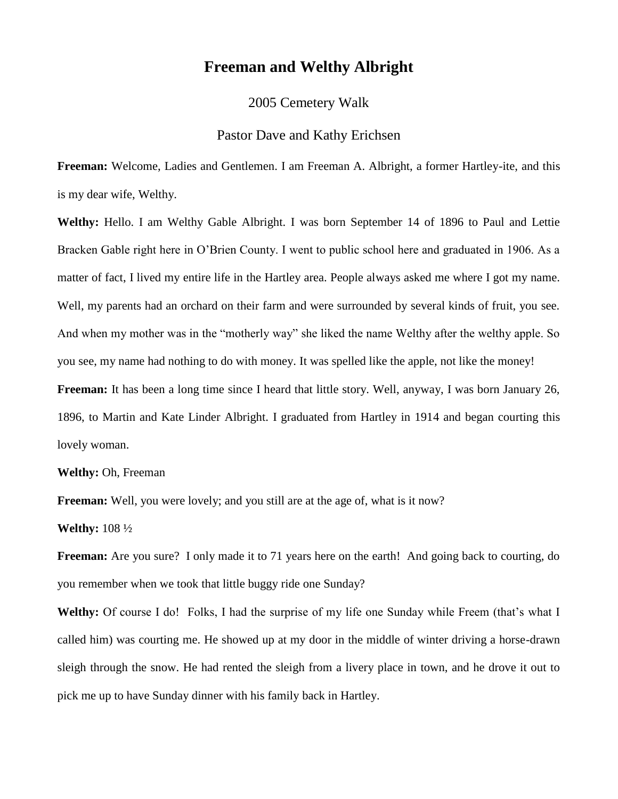## **Freeman and Welthy Albright**

2005 Cemetery Walk

## Pastor Dave and Kathy Erichsen

**Freeman:** Welcome, Ladies and Gentlemen. I am Freeman A. Albright, a former Hartley-ite, and this is my dear wife, Welthy.

**Welthy:** Hello. I am Welthy Gable Albright. I was born September 14 of 1896 to Paul and Lettie Bracken Gable right here in O'Brien County. I went to public school here and graduated in 1906. As a matter of fact, I lived my entire life in the Hartley area. People always asked me where I got my name. Well, my parents had an orchard on their farm and were surrounded by several kinds of fruit, you see. And when my mother was in the "motherly way" she liked the name Welthy after the welthy apple. So you see, my name had nothing to do with money. It was spelled like the apple, not like the money! **Freeman:** It has been a long time since I heard that little story. Well, anyway, I was born January 26, 1896, to Martin and Kate Linder Albright. I graduated from Hartley in 1914 and began courting this lovely woman.

**Welthy:** Oh, Freeman

**Freeman:** Well, you were lovely; and you still are at the age of, what is it now?

**Welthy:** 108 ½

**Freeman:** Are you sure? I only made it to 71 years here on the earth! And going back to courting, do you remember when we took that little buggy ride one Sunday?

Welthy: Of course I do! Folks, I had the surprise of my life one Sunday while Freem (that's what I called him) was courting me. He showed up at my door in the middle of winter driving a horse-drawn sleigh through the snow. He had rented the sleigh from a livery place in town, and he drove it out to pick me up to have Sunday dinner with his family back in Hartley.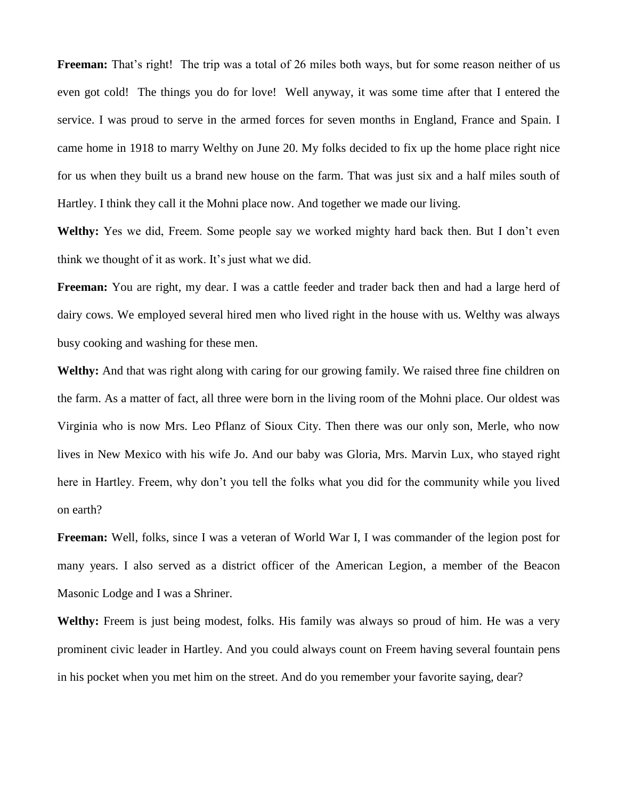**Freeman:** That's right! The trip was a total of 26 miles both ways, but for some reason neither of us even got cold! The things you do for love! Well anyway, it was some time after that I entered the service. I was proud to serve in the armed forces for seven months in England, France and Spain. I came home in 1918 to marry Welthy on June 20. My folks decided to fix up the home place right nice for us when they built us a brand new house on the farm. That was just six and a half miles south of Hartley. I think they call it the Mohni place now. And together we made our living.

**Welthy:** Yes we did, Freem. Some people say we worked mighty hard back then. But I don't even think we thought of it as work. It's just what we did.

**Freeman:** You are right, my dear. I was a cattle feeder and trader back then and had a large herd of dairy cows. We employed several hired men who lived right in the house with us. Welthy was always busy cooking and washing for these men.

**Welthy:** And that was right along with caring for our growing family. We raised three fine children on the farm. As a matter of fact, all three were born in the living room of the Mohni place. Our oldest was Virginia who is now Mrs. Leo Pflanz of Sioux City. Then there was our only son, Merle, who now lives in New Mexico with his wife Jo. And our baby was Gloria, Mrs. Marvin Lux, who stayed right here in Hartley. Freem, why don't you tell the folks what you did for the community while you lived on earth?

**Freeman:** Well, folks, since I was a veteran of World War I, I was commander of the legion post for many years. I also served as a district officer of the American Legion, a member of the Beacon Masonic Lodge and I was a Shriner.

Welthy: Freem is just being modest, folks. His family was always so proud of him. He was a very prominent civic leader in Hartley. And you could always count on Freem having several fountain pens in his pocket when you met him on the street. And do you remember your favorite saying, dear?